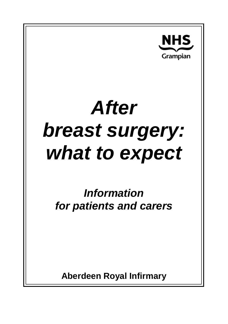

# *After breast surgery: what to expect*

*Information for patients and carers*

**Aberdeen Royal Infirmary**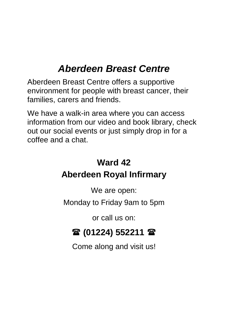# *Aberdeen Breast Centre*

Aberdeen Breast Centre offers a supportive environment for people with breast cancer, their families, carers and friends.

We have a walk-in area where you can access information from our video and book library, check out our social events or just simply drop in for a coffee and a chat.

# **Ward 42 Aberdeen Royal Infirmary**

We are open:

Monday to Friday 9am to 5pm

or call us on:

# **(01224) 552211**

Come along and visit us!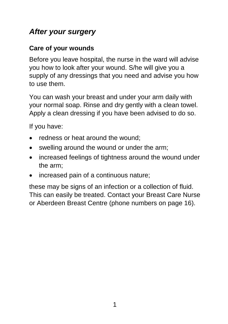## *After your surgery*

#### **Care of your wounds**

Before you leave hospital, the nurse in the ward will advise you how to look after your wound. S/he will give you a supply of any dressings that you need and advise you how to use them.

You can wash your breast and under your arm daily with your normal soap. Rinse and dry gently with a clean towel. Apply a clean dressing if you have been advised to do so.

If you have:

- redness or heat around the wound:
- swelling around the wound or under the arm;
- increased feelings of tightness around the wound under the arm;
- increased pain of a continuous nature;

these may be signs of an infection or a collection of fluid. This can easily be treated. Contact your Breast Care Nurse or Aberdeen Breast Centre (phone numbers on page 16).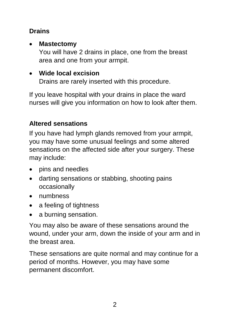#### **Drains**

#### • **Mastectomy**

You will have 2 drains in place, one from the breast area and one from your armpit.

#### • **Wide local excision**

Drains are rarely inserted with this procedure.

If you leave hospital with your drains in place the ward nurses will give you information on how to look after them.

#### **Altered sensations**

If you have had lymph glands removed from your armpit, you may have some unusual feelings and some altered sensations on the affected side after your surgery. These may include:

- pins and needles
- darting sensations or stabbing, shooting pains occasionally
- numbness
- a feeling of tightness
- a burning sensation.

You may also be aware of these sensations around the wound, under your arm, down the inside of your arm and in the breast area.

These sensations are quite normal and may continue for a period of months. However, you may have some permanent discomfort.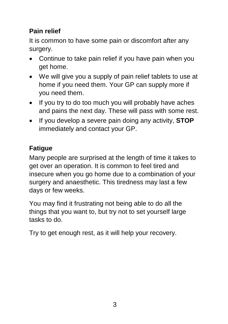#### **Pain relief**

It is common to have some pain or discomfort after any surgery.

- Continue to take pain relief if you have pain when you get home.
- We will give you a supply of pain relief tablets to use at home if you need them. Your GP can supply more if you need them.
- If you try to do too much you will probably have aches and pains the next day. These will pass with some rest.
- If you develop a severe pain doing any activity, **STOP** immediately and contact your GP.

# **Fatigue**

Many people are surprised at the length of time it takes to get over an operation. It is common to feel tired and insecure when you go home due to a combination of your surgery and anaesthetic. This tiredness may last a few days or few weeks.

You may find it frustrating not being able to do all the things that you want to, but try not to set yourself large tasks to do.

Try to get enough rest, as it will help your recovery.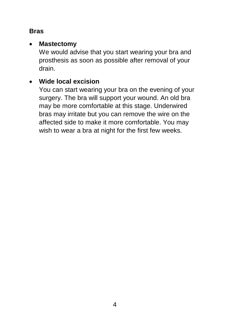#### **Bras**

#### • **Mastectomy**

We would advise that you start wearing your bra and prosthesis as soon as possible after removal of your drain.

#### • **Wide local excision**

You can start wearing your bra on the evening of your surgery. The bra will support your wound. An old bra may be more comfortable at this stage. Underwired bras may irritate but you can remove the wire on the affected side to make it more comfortable. You may wish to wear a bra at night for the first few weeks.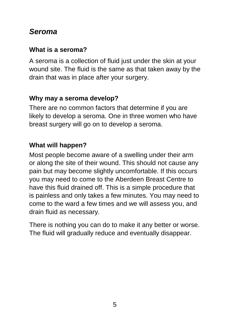#### *Seroma*

#### **What is a seroma?**

A seroma is a collection of fluid just under the skin at your wound site. The fluid is the same as that taken away by the drain that was in place after your surgery.

#### **Why may a seroma develop?**

There are no common factors that determine if you are likely to develop a seroma. One in three women who have breast surgery will go on to develop a seroma.

#### **What will happen?**

Most people become aware of a swelling under their arm or along the site of their wound. This should not cause any pain but may become slightly uncomfortable. If this occurs you may need to come to the Aberdeen Breast Centre to have this fluid drained off. This is a simple procedure that is painless and only takes a few minutes. You may need to come to the ward a few times and we will assess you, and drain fluid as necessary.

There is nothing you can do to make it any better or worse. The fluid will gradually reduce and eventually disappear.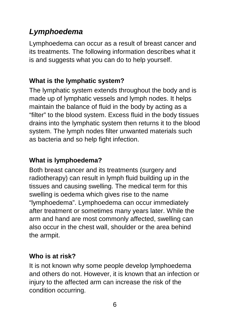# *Lymphoedema*

Lymphoedema can occur as a result of breast cancer and its treatments. The following information describes what it is and suggests what you can do to help yourself.

#### **What is the lymphatic system?**

The lymphatic system extends throughout the body and is made up of lymphatic vessels and lymph nodes. It helps maintain the balance of fluid in the body by acting as a "filter" to the blood system. Excess fluid in the body tissues drains into the lymphatic system then returns it to the blood system. The lymph nodes filter unwanted materials such as bacteria and so help fight infection.

#### **What is lymphoedema?**

Both breast cancer and its treatments (surgery and radiotherapy) can result in lymph fluid building up in the tissues and causing swelling. The medical term for this swelling is oedema which gives rise to the name "lymphoedema". Lymphoedema can occur immediately after treatment or sometimes many years later. While the arm and hand are most commonly affected, swelling can also occur in the chest wall, shoulder or the area behind the armpit.

#### **Who is at risk?**

It is not known why some people develop lymphoedema and others do not. However, it is known that an infection or injury to the affected arm can increase the risk of the condition occurring.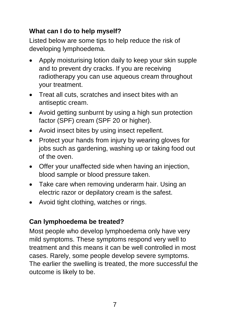#### **What can I do to help myself?**

Listed below are some tips to help reduce the risk of developing lymphoedema.

- Apply moisturising lotion daily to keep your skin supple and to prevent dry cracks. If you are receiving radiotherapy you can use aqueous cream throughout your treatment.
- Treat all cuts, scratches and insect bites with an antiseptic cream.
- Avoid getting sunburnt by using a high sun protection factor (SPF) cream (SPF 20 or higher).
- Avoid insect bites by using insect repellent.
- Protect your hands from injury by wearing gloves for jobs such as gardening, washing up or taking food out of the oven.
- Offer your unaffected side when having an injection, blood sample or blood pressure taken.
- Take care when removing underarm hair. Using an electric razor or depilatory cream is the safest.
- Avoid tight clothing, watches or rings.

#### **Can lymphoedema be treated?**

Most people who develop lymphoedema only have very mild symptoms. These symptoms respond very well to treatment and this means it can be well controlled in most cases. Rarely, some people develop severe symptoms. The earlier the swelling is treated, the more successful the outcome is likely to be.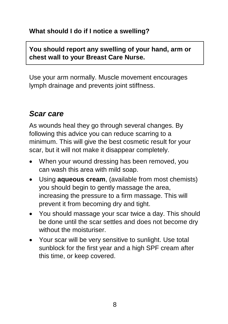#### **What should I do if I notice a swelling?**

#### **You should report any swelling of your hand, arm or chest wall to your Breast Care Nurse.**

Use your arm normally. Muscle movement encourages lymph drainage and prevents joint stiffness.

## *Scar care*

As wounds heal they go through several changes. By following this advice you can reduce scarring to a minimum. This will give the best cosmetic result for your scar, but it will not make it disappear completely.

- When your wound dressing has been removed, you can wash this area with mild soap.
- Using **aqueous cream**, (available from most chemists) you should begin to gently massage the area, increasing the pressure to a firm massage. This will prevent it from becoming dry and tight.
- You should massage your scar twice a day. This should be done until the scar settles and does not become dry without the moisturiser.
- Your scar will be very sensitive to sunlight. Use total sunblock for the first year and a high SPF cream after this time, or keep covered.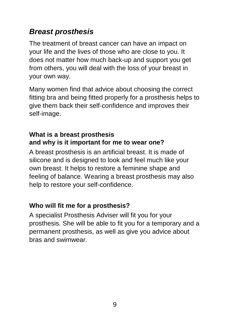# *Breast prosthesis*

The treatment of breast cancer can have an impact on your life and the lives of those who are close to you. It does not matter how much back-up and support you get from others, you will deal with the loss of your breast in your own way.

Many women find that advice about choosing the correct fitting bra and being fitted properly for a prosthesis helps to give them back their self-confidence and improves their self-image.

#### **What is a breast prosthesis and why is it important for me to wear one?**

A breast prosthesis is an artificial breast. It is made of silicone and is designed to look and feel much like your own breast. It helps to restore a feminine shape and feeling of balance. Wearing a breast prosthesis may also help to restore your self-confidence.

#### **Who will fit me for a prosthesis?**

A specialist Prosthesis Adviser will fit you for your prosthesis. She will be able to fit you for a temporary and a permanent prosthesis, as well as give you advice about bras and swimwear.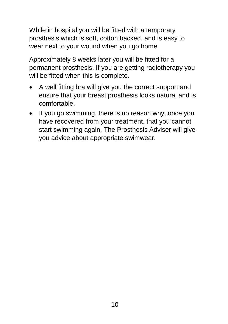While in hospital you will be fitted with a temporary prosthesis which is soft, cotton backed, and is easy to wear next to your wound when you go home.

Approximately 8 weeks later you will be fitted for a permanent prosthesis. If you are getting radiotherapy you will be fitted when this is complete.

- A well fitting bra will give you the correct support and ensure that your breast prosthesis looks natural and is comfortable.
- If you go swimming, there is no reason why, once you have recovered from your treatment, that you cannot start swimming again. The Prosthesis Adviser will give you advice about appropriate swimwear.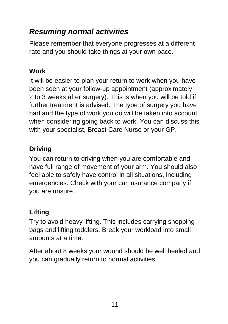# *Resuming normal activities*

Please remember that everyone progresses at a different rate and you should take things at your own pace.

#### **Work**

It will be easier to plan your return to work when you have been seen at your follow-up appointment (approximately 2 to 3 weeks after surgery). This is when you will be told if further treatment is advised. The type of surgery you have had and the type of work you do will be taken into account when considering going back to work. You can discuss this with your specialist, Breast Care Nurse or your GP.

#### **Driving**

You can return to driving when you are comfortable and have full range of movement of your arm. You should also feel able to safely have control in all situations, including emergencies. Check with your car insurance company if you are unsure.

#### **Lifting**

Try to avoid heavy lifting. This includes carrying shopping bags and lifting toddlers. Break your workload into small amounts at a time.

After about 8 weeks your wound should be well healed and you can gradually return to normal activities.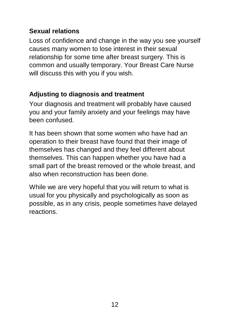#### **Sexual relations**

Loss of confidence and change in the way you see yourself causes many women to lose interest in their sexual relationship for some time after breast surgery. This is common and usually temporary. Your Breast Care Nurse will discuss this with you if you wish.

#### **Adjusting to diagnosis and treatment**

Your diagnosis and treatment will probably have caused you and your family anxiety and your feelings may have been confused.

It has been shown that some women who have had an operation to their breast have found that their image of themselves has changed and they feel different about themselves. This can happen whether you have had a small part of the breast removed or the whole breast, and also when reconstruction has been done.

While we are very hopeful that you will return to what is usual for you physically and psychologically as soon as possible, as in any crisis, people sometimes have delayed reactions.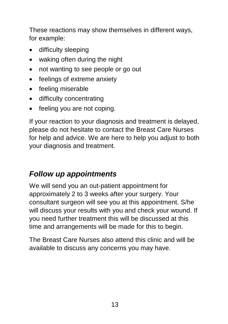These reactions may show themselves in different ways, for example:

- difficulty sleeping
- waking often during the night
- not wanting to see people or go out
- feelings of extreme anxiety
- feeling miserable
- difficulty concentrating
- feeling you are not coping.

If your reaction to your diagnosis and treatment is delayed, please do not hesitate to contact the Breast Care Nurses for help and advice. We are here to help you adjust to both your diagnosis and treatment.

# *Follow up appointments*

We will send you an out-patient appointment for approximately 2 to 3 weeks after your surgery. Your consultant surgeon will see you at this appointment. S/he will discuss your results with you and check your wound. If you need further treatment this will be discussed at this time and arrangements will be made for this to begin.

The Breast Care Nurses also attend this clinic and will be available to discuss any concerns you may have.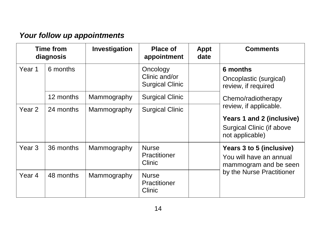# *Your follow up appointments*

| <b>Time from</b><br>diagnosis |           | Investigation | <b>Place of</b><br>appointment                      | <b>Appt</b><br>date | <b>Comments</b>                                                                                                                                                                        |  |
|-------------------------------|-----------|---------------|-----------------------------------------------------|---------------------|----------------------------------------------------------------------------------------------------------------------------------------------------------------------------------------|--|
| Year 1                        | 6 months  |               | Oncology<br>Clinic and/or<br><b>Surgical Clinic</b> |                     | 6 months<br>Oncoplastic (surgical)<br>review, if required<br>Chemo/radiotherapy<br>review, if applicable.<br>Years 1 and 2 (inclusive)<br>Surgical Clinic (if above<br>not applicable) |  |
|                               | 12 months | Mammography   | <b>Surgical Clinic</b>                              |                     |                                                                                                                                                                                        |  |
| Year <sub>2</sub>             | 24 months | Mammography   | <b>Surgical Clinic</b>                              |                     |                                                                                                                                                                                        |  |
| Year <sub>3</sub>             | 36 months | Mammography   | <b>Nurse</b><br>Practitioner<br>Clinic              |                     | Years 3 to 5 (inclusive)<br>You will have an annual<br>mammogram and be seen                                                                                                           |  |
| Year <sub>4</sub>             | 48 months | Mammography   | <b>Nurse</b><br>Practitioner<br>Clinic              |                     | by the Nurse Practitioner                                                                                                                                                              |  |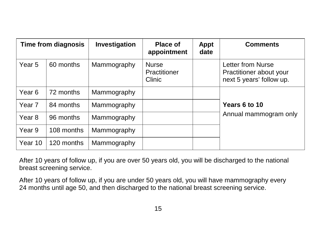| Time from diagnosis |            | Investigation | <b>Place of</b><br>appointment         | <b>Appt</b><br>date | <b>Comments</b>                                                          |
|---------------------|------------|---------------|----------------------------------------|---------------------|--------------------------------------------------------------------------|
| Year <sub>5</sub>   | 60 months  | Mammography   | <b>Nurse</b><br>Practitioner<br>Clinic |                     | Letter from Nurse<br>Practitioner about your<br>next 5 years' follow up. |
| Year <sub>6</sub>   | 72 months  | Mammography   |                                        |                     | Years 6 to 10<br>Annual mammogram only                                   |
| Year <sub>7</sub>   | 84 months  | Mammography   |                                        |                     |                                                                          |
| Year <sub>8</sub>   | 96 months  | Mammography   |                                        |                     |                                                                          |
| Year <sub>9</sub>   | 108 months | Mammography   |                                        |                     |                                                                          |
| Year 10             | 120 months | Mammography   |                                        |                     |                                                                          |

After 10 years of follow up, if you are over 50 years old, you will be discharged to the national breast screening service.

After 10 years of follow up, if you are under 50 years old, you will have mammography every 24 months until age 50, and then discharged to the national breast screening service.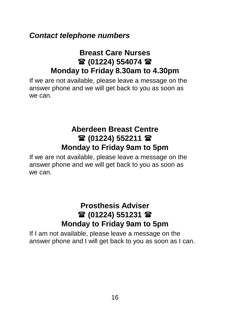#### *Contact telephone numbers*

#### **Breast Care Nurses 雷 (01224) 554074 雷 Monday to Friday 8.30am to 4.30pm**

If we are not available, please leave a message on the answer phone and we will get back to you as soon as we can.

#### **Aberdeen Breast Centre 雷(01224) 552211 雷 Monday to Friday 9am to 5pm**

If we are not available, please leave a message on the answer phone and we will get back to you as soon as we can.

## **Prosthesis Adviser (01224) 551231 Monday to Friday 9am to 5pm**

If I am not available, please leave a message on the answer phone and I will get back to you as soon as I can.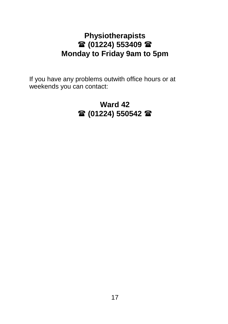#### **Physiotherapists (01224) 553409 Monday to Friday 9am to 5pm**

If you have any problems outwith office hours or at weekends you can contact:

## **Ward 42 (01224) 550542**